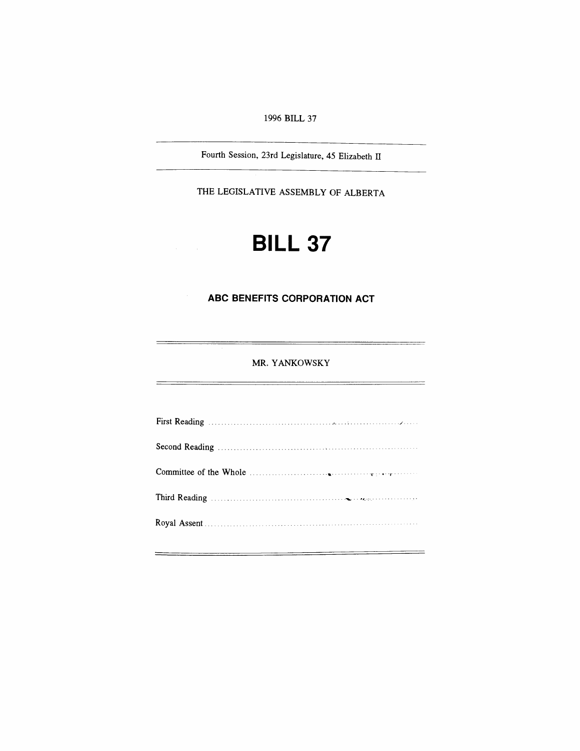*1996 BILL 37*

*Fourth Session, 23rd Legislature, 45 Elizabeth II*

*THE LEGISLATIVE ASSEMBLY OF ALBERTA*

# *BILL 37*

### *ABC BENEFITS CORPORATION ACT*

*MR. YANKOWSKY*

÷

÷

 $\overline{a}$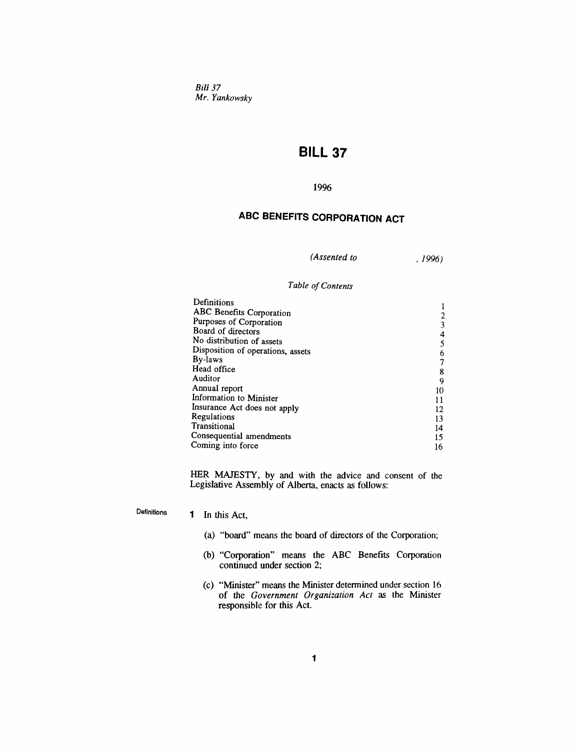*Bill 37 Mr. Yankowsky*

## *BILL 37*

#### *1996*

## *ABC BENEFITS CORPORATION ACT*

*(Assented to , 1996)*

#### *Table ofContents*

| Definitions                       |    |
|-----------------------------------|----|
| ABC Benefits Corporation          |    |
| Purposes of Corporation           |    |
| Board of directors                | 4  |
| No distribution of assets         |    |
| Disposition of operations, assets | 6  |
| By-laws                           |    |
| Head office                       | 8  |
| Auditor                           | 9  |
| Annual report                     | 10 |
| Information to Minister           | 11 |
| Insurance Act does not apply      | 12 |
| Regulations                       | 13 |
| Transitional                      | 14 |
| Consequential amendments          | 15 |
| Coming into force                 | 16 |

*HER MAJESTY, by andwith the advice and consent of the Legislative Assembly of Alberta, enacts as follows:*

*Definitions <sup>1</sup> In this Act,*

- *(a) "board" means the board of directors of the Corporation;*
- *(b) "Corporation" means the ABC Benefits Corporation continued under section 2;*
- *(c) "Minister" means the Minister determined under section 16 of the Government Organization Act as the Minister responsible for this Act.*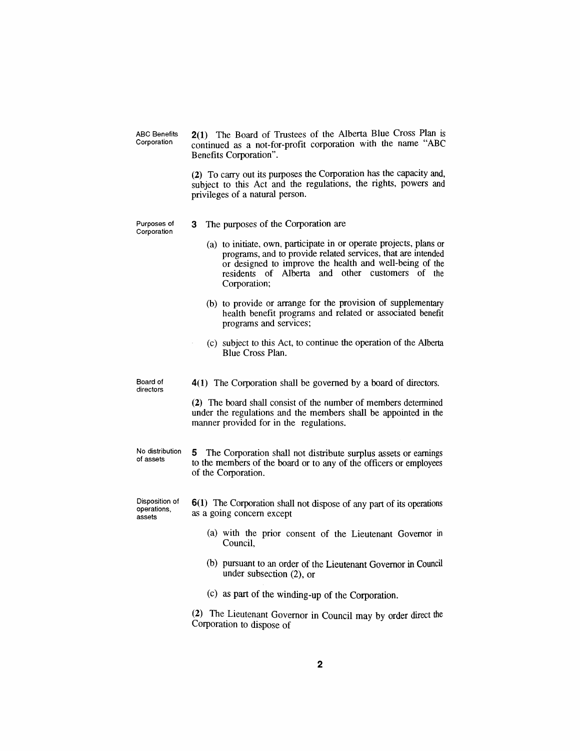*ABC Benefits Corporation*

*2(1) The Board of Trustees of the Alberta Blue Cross Plan is continued as a not-for-profit corporation with the name "ABC Benefits Corporation".*

*(2) To carry out its purposes the Corporation has the capacity and, subject to this Act and the regulations, the rights, powers and privileges of a natural person.*

*Purposes of Corporation*

- *3 The purposes of the Corporation are*
	- *(a) to initiate, own, participate in or operate projects, plans or programs, and to provide related services, that are intended or designed to improve the health and well-being of the residents of Alberta and other customers of the Corporation;*
	- *(b) to provide or arrange for the provision of supplementary health benefit programs and related or associated benefit programs and services;*
	- *(c) subject to this Act, to continue the operation of the Alberta Blue Cross Plan.*

*4(1) The Corporation shall be governed by a board of directors.*

*(2) The board shall consist of the number of members determined under the regulations and the members shall be appointed in the manner provided for in the regulations.*

*No distribution of assets 5 The Corporation shall not distribute surplus assets or earnings to the members of the board or to any of the officers or employees of the Corporation.*

*Disposition of operations, assets*

*Board of directors*

- *6(1) The Corporation shall not dispose of any part of its operations as a going concern except*
	- *(a) with the prior consent of the Lieutenant Governor in Council,*
	- *(b) pursuant to an order of the Lieutenant Governor in Council under subsection (2), or*

*(c) as part of the winding-up of the Corporation.*

*(2) The Lieutenant Governor in Council may by order direct the Corporation to dispose of*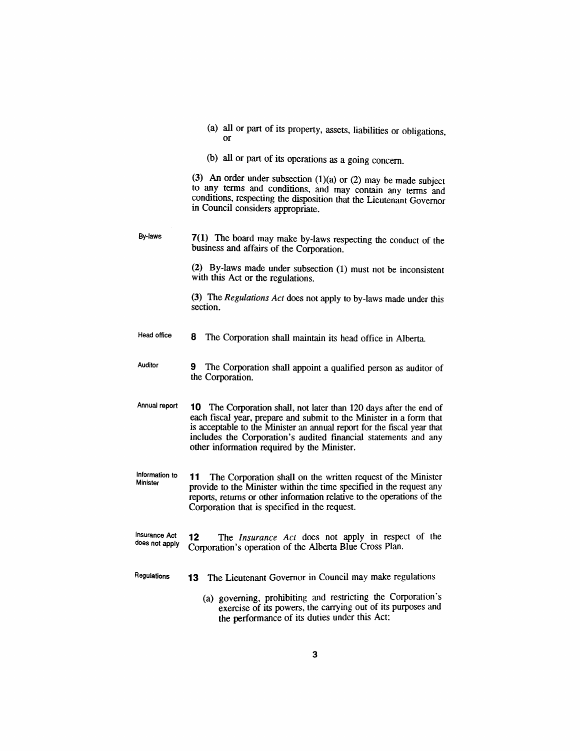|    |  |  |  | (a) all or part of its property, assets, liabilities or obligations, |
|----|--|--|--|----------------------------------------------------------------------|
| Оľ |  |  |  |                                                                      |

*(b) all or part of its operations as a going concern.*

*(3) An order under subsection (1)(a) or (2) may be made subject to any terms and conditions, and may contain any terms and conditions, respecting the disposition that the Lieutenant Governor in Council considers appropriate.*

*By-laws 7(1) The board may make by-laws respecting the conduct of the business and affairs of the Corporation.*

> *(2) By-laws made under subsection (1) must not be inconsistent with this Act or the regulations.*

> *(3) The Regulations Act does not apply to by-laws made under this section.*

- *Head office 8 The Corporation shall maintain its head office in Alberta.*
- *Auditor 9 The Corporation shall appoint a qualified person as auditor of the Corporation.*
- *Annual report 10 The Corporation shall, not later than 120 days after the end of each fiscal year, prepare and submit to the Minister in a form that is acceptable to the Minister an annual report for the fiscal year that includes the Corporation's audited financial statements and any other information required by the Minister.*
- *Information to Minister 11 The Corporation shall on the written request of the Minister provide to the Minister within the time specified in the request any reports, returns or other information relative to the operations of the Corporation that is specified in the request.*
- *Insurance Act does not apply 12 The Insurance Act does not apply in respect of the Corporation's operation of the Alberta Blue Cross Plan.*
- *Regulations 13 The Lieutenant Governor in Council may make regulations*
	- *(a) governing, prohibiting and restricting the Corporation's exercise of its powers, the carrying out of its purposes and the performance of its duties under this Act;*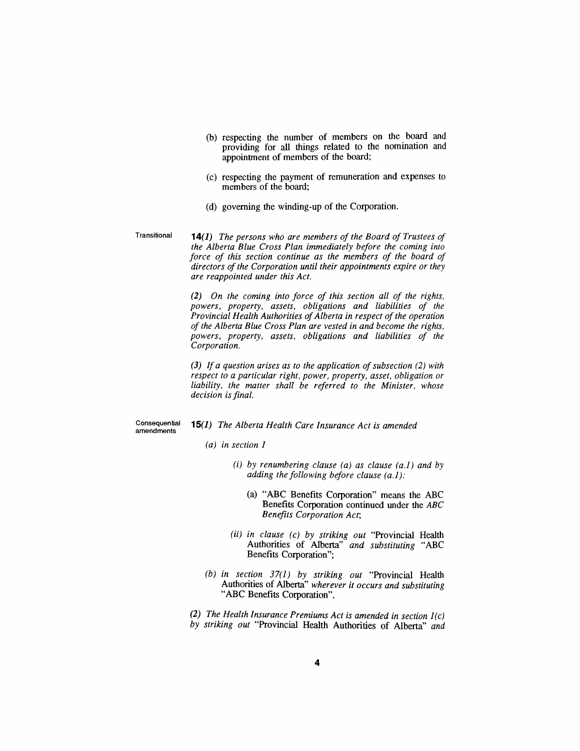- *(b) respecting the number of members on the board and providing for all things related to the nomination and appointment of members of the board;*
- *(c) respecting the payment of remuneration and expenses to members of the board;*
- *(d) governing the winding-up of the Corporation.*
- *Transitional 14(1) The persons who are members of the Board of Trustees of the Alberta Blue Cross Plan immediately before the coming into force of this section continue as the members of the board of directors ofthe Corporation until their appointments expire or they are reappointed under this Act.*

*(2) On the coming into force of this section all of the rights, powers, property, assets, obligations and liabilities of the Provincial Health Authorities ofAlberta in respect ofthe operation of the Alberta Blue Cross Plan are vested in and become the rights, powers, property, assets, obligations and liabilities of the Corporation.*

*(3) If a question arises as to the application ofsubsection (2) with respect to a particular right, power, property, asset, obligation or liability, the matter shall be referred to the Minister, whose decision isfinal.*

*Consequential amendments*

*15(1) The Alberta Health Care Insurance Act is amended*

- *(a) in section <sup>1</sup>*
	- *(i) by renumbering clause (a) as clause (a.1) and by adding the following before clause (a.1):*
		- *(a) "ABC Benefits Corporation" means the ABC Benefits Corporation continued under the ABC Benefits Corporation Act;*
	- *(ii) in clause (c) by striking out "Provincial Health Authorities of Alberta" and substituting "ABC Benefits Corporation";*
- *(b) in section 37(1) by striking out "Provincial Health Authorities of Alberta" wherever it occurs and substituting "ABC Benefits Corporation".*

*(2) The Health Insurance Premiums Act is amended in section 1(c) by striking out "Provincial Health Authorities of Alberta" and*